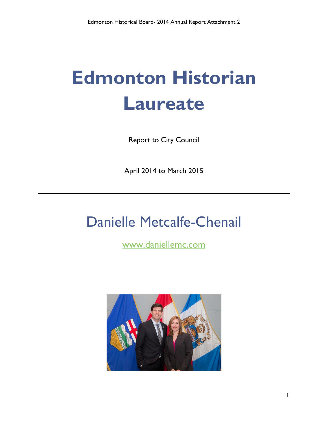# **Edmonton Historian Laureate**

Report to City Council

April 2014 to March 2015

## Danielle Metcalfe-Chenail

[www.daniellemc.com](http://www.daniellemc.com/)

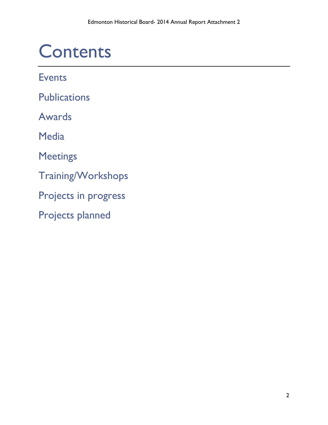## **Contents**

**Events** 

**Publications** 

Awards

**Media** 

Meetings

Training/Workshops

Projects in progress

Projects planned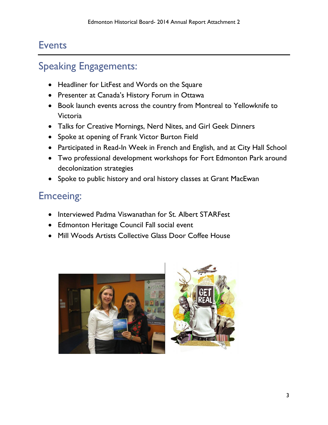### Events

### Speaking Engagements:

- Headliner for LitFest and Words on the Square
- Presenter at Canada's History Forum in Ottawa
- Book launch events across the country from Montreal to Yellowknife to Victoria
- Talks for Creative Mornings, Nerd Nites, and Girl Geek Dinners
- Spoke at opening of Frank Victor Burton Field
- Participated in Read-In Week in French and English, and at City Hall School
- Two professional development workshops for Fort Edmonton Park around decolonization strategies
- Spoke to public history and oral history classes at Grant MacEwan

### Emceeing:

- Interviewed Padma Viswanathan for St. Albert STARFest
- Edmonton Heritage Council Fall social event
- Mill Woods Artists Collective Glass Door Coffee House



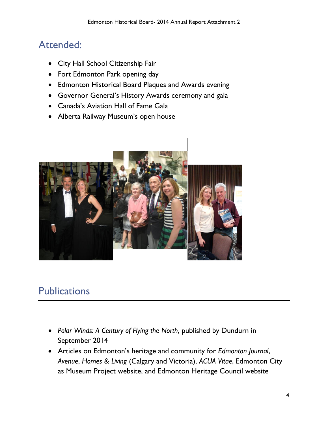### Attended:

- City Hall School Citizenship Fair
- Fort Edmonton Park opening day
- Edmonton Historical Board Plaques and Awards evening
- Governor General's History Awards ceremony and gala
- Canada's Aviation Hall of Fame Gala
- Alberta Railway Museum's open house



### **Publications**

- *Polar Winds: A Century of Flying the North*, published by Dundurn in September 2014
- Articles on Edmonton's heritage and community for *Edmonton Journal*, *Avenue*, *Homes & Living* (Calgary and Victoria), *ACUA Vitae*, Edmonton City as Museum Project website, and Edmonton Heritage Council website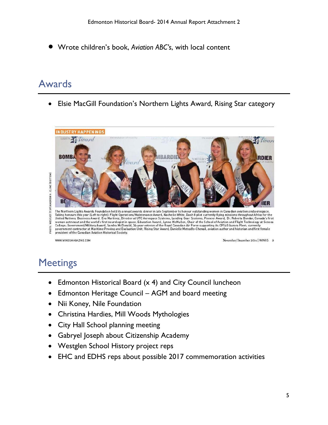Wrote children's book, *Aviation ABC's*, with local content

### Awards

Elsie MacGill Foundation's Northern Lights Award, Rising Star category



WWW.WINGSMAGAZINE.COM

November/December 2014 | WINGS 9

### **Meetings**

- Edmonton Historical Board (x 4) and City Council luncheon
- Edmonton Heritage Council AGM and board meeting
- Nii Koney, Nile Foundation
- Christina Hardies, Mill Woods Mythologies
- City Hall School planning meeting
- Gabryel Joseph about Citizenship Academy
- Westglen School History project reps
- EHC and EDHS reps about possible 2017 commemoration activities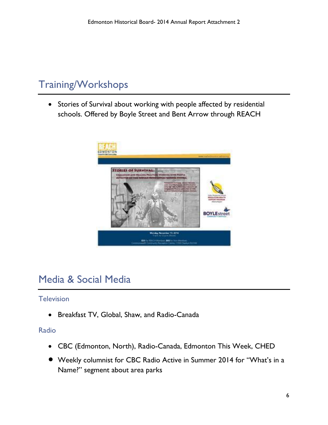### Training/Workshops

 Stories of Survival about working with people affected by residential schools. Offered by Boyle Street and Bent Arrow through REACH



### Media & Social Media

#### **Television**

Breakfast TV, Global, Shaw, and Radio-Canada

#### Radio

- CBC (Edmonton, North), Radio-Canada, Edmonton This Week, CHED
- Weekly columnist for CBC Radio Active in Summer 2014 for "What's in a Name?" segment about area parks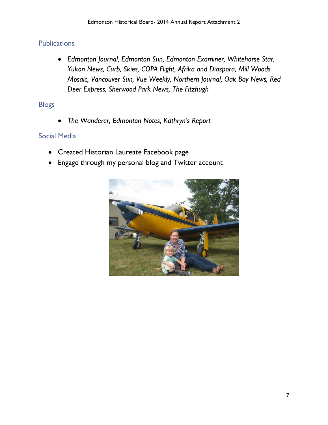#### **Publications**

 *Edmonton Journal, Edmonton Sun, Edmonton Examiner, Whitehorse Star, Yukon News, Curb, Skies, COPA Flight, Afrika and Diaspora, Mill Woods Mosaic, Vancouver Sun, Vue Weekly, Northern Journal, Oak Bay News, Red Deer Express, Sherwood Park News, The Fitzhugh*

#### Blogs

*The Wanderer, Edmonton Notes, Kathryn's Report*

#### Social Media

- Created Historian Laureate Facebook page
- Engage through my personal blog and Twitter account

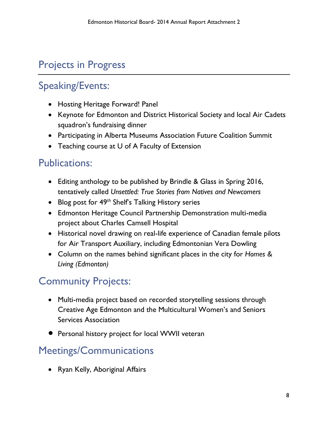### Projects in Progress

### Speaking/Events:

- Hosting Heritage Forward! Panel
- Keynote for Edmonton and District Historical Society and local Air Cadets squadron's fundraising dinner
- Participating in Alberta Museums Association Future Coalition Summit
- Teaching course at U of A Faculty of Extension

### Publications:

- Editing anthology to be published by Brindle & Glass in Spring 2016, tentatively called *Unsettled: True Stories from Natives and Newcomers*
- Blog post for 49<sup>th</sup> Shelf's Talking History series
- Edmonton Heritage Council Partnership Demonstration multi-media project about Charles Camsell Hospital
- Historical novel drawing on real-life experience of Canadian female pilots for Air Transport Auxiliary, including Edmontonian Vera Dowling
- Column on the names behind significant places in the city for *Homes & Living (Edmonton)*

### Community Projects:

- Multi-media project based on recorded storytelling sessions through Creative Age Edmonton and the Multicultural Women's and Seniors Services Association
- **•** Personal history project for local WWII veteran

### Meetings/Communications

• Ryan Kelly, Aboriginal Affairs